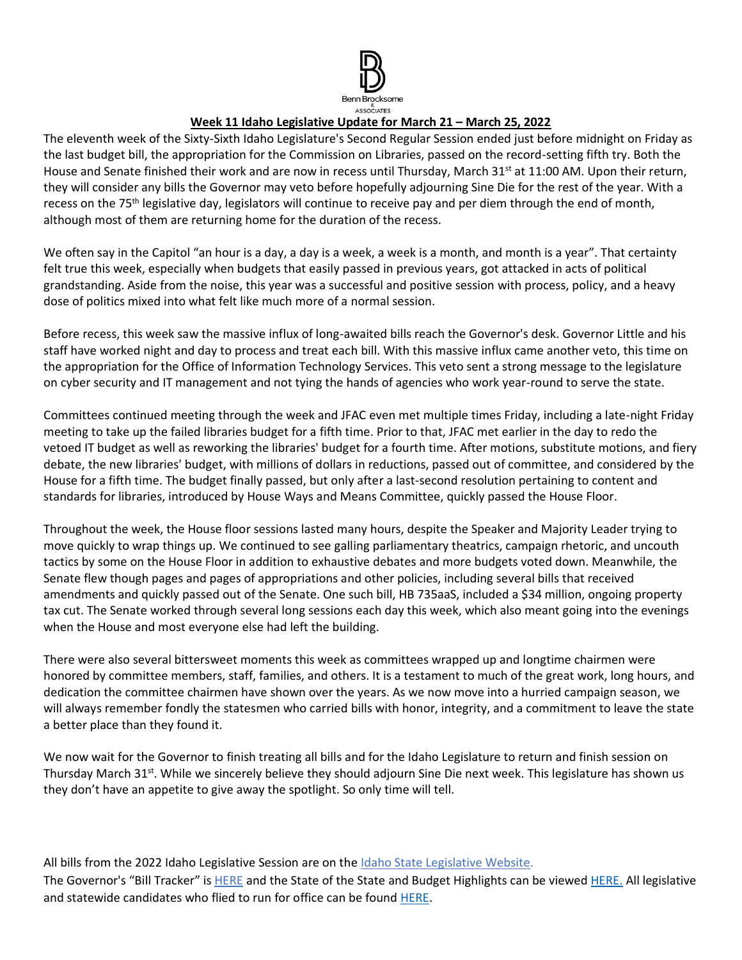

## **Week 11 Idaho Legislative Update for March 21 – March 25, 2022**

The eleventh week of the Sixty-Sixth Idaho Legislature's Second Regular Session ended just before midnight on Friday as the last budget bill, the appropriation for the Commission on Libraries, passed on the record-setting fifth try. Both the House and Senate finished their work and are now in recess until Thursday, March 31<sup>st</sup> at 11:00 AM. Upon their return, they will consider any bills the Governor may veto before hopefully adjourning Sine Die for the rest of the year. With a recess on the 75<sup>th</sup> legislative day, legislators will continue to receive pay and per diem through the end of month, although most of them are returning home for the duration of the recess.

We often say in the Capitol "an hour is a day, a day is a week, a week is a month, and month is a year". That certainty felt true this week, especially when budgets that easily passed in previous years, got attacked in acts of political grandstanding. Aside from the noise, this year was a successful and positive session with process, policy, and a heavy dose of politics mixed into what felt like much more of a normal session.

Before recess, this week saw the massive influx of long-awaited bills reach the Governor's desk. Governor Little and his staff have worked night and day to process and treat each bill. With this massive influx came another veto, this time on the appropriation for the Office of Information Technology Services. This veto sent a strong message to the legislature on cyber security and IT management and not tying the hands of agencies who work year-round to serve the state.

Committees continued meeting through the week and JFAC even met multiple times Friday, including a late-night Friday meeting to take up the failed libraries budget for a fifth time. Prior to that, JFAC met earlier in the day to redo the vetoed IT budget as well as reworking the libraries' budget for a fourth time. After motions, substitute motions, and fiery debate, the new libraries' budget, with millions of dollars in reductions, passed out of committee, and considered by the House for a fifth time. The budget finally passed, but only after a last-second resolution pertaining to content and standards for libraries, introduced by House Ways and Means Committee, quickly passed the House Floor.

Throughout the week, the House floor sessions lasted many hours, despite the Speaker and Majority Leader trying to move quickly to wrap things up. We continued to see galling parliamentary theatrics, campaign rhetoric, and uncouth tactics by some on the House Floor in addition to exhaustive debates and more budgets voted down. Meanwhile, the Senate flew though pages and pages of appropriations and other policies, including several bills that received amendments and quickly passed out of the Senate. One such bill, HB 735aaS, included a \$34 million, ongoing property tax cut. The Senate worked through several long sessions each day this week, which also meant going into the evenings when the House and most everyone else had left the building.

There were also several bittersweet moments this week as committees wrapped up and longtime chairmen were honored by committee members, staff, families, and others. It is a testament to much of the great work, long hours, and dedication the committee chairmen have shown over the years. As we now move into a hurried campaign season, we will always remember fondly the statesmen who carried bills with honor, integrity, and a commitment to leave the state a better place than they found it.

We now wait for the Governor to finish treating all bills and for the Idaho Legislature to return and finish session on Thursday March 31<sup>st</sup>. While we sincerely believe they should adjourn Sine Die next week. This legislature has shown us they don't have an appetite to give away the spotlight. So only time will tell.

All bills from the 2022 Idaho Legislative Session are on th[e Idaho State Legislative Website.](https://legislature.idaho.gov/sessioninfo/) The Governor's "Bill Tracker" is [HERE](https://gov.idaho.gov/legislative-sessions/2022-legislative-session/) and the State of the State and Budget Highlights can be viewe[d HERE.](https://gov.idaho.gov/pressrelease/gov-little-highlights-plan-for-education-investments-tax-relief-in-2022-state-of-the-state-and-budget-address/) All legislative and statewide candidates who flied to run for office can be found [HERE.](https://sos.idaho.gov/)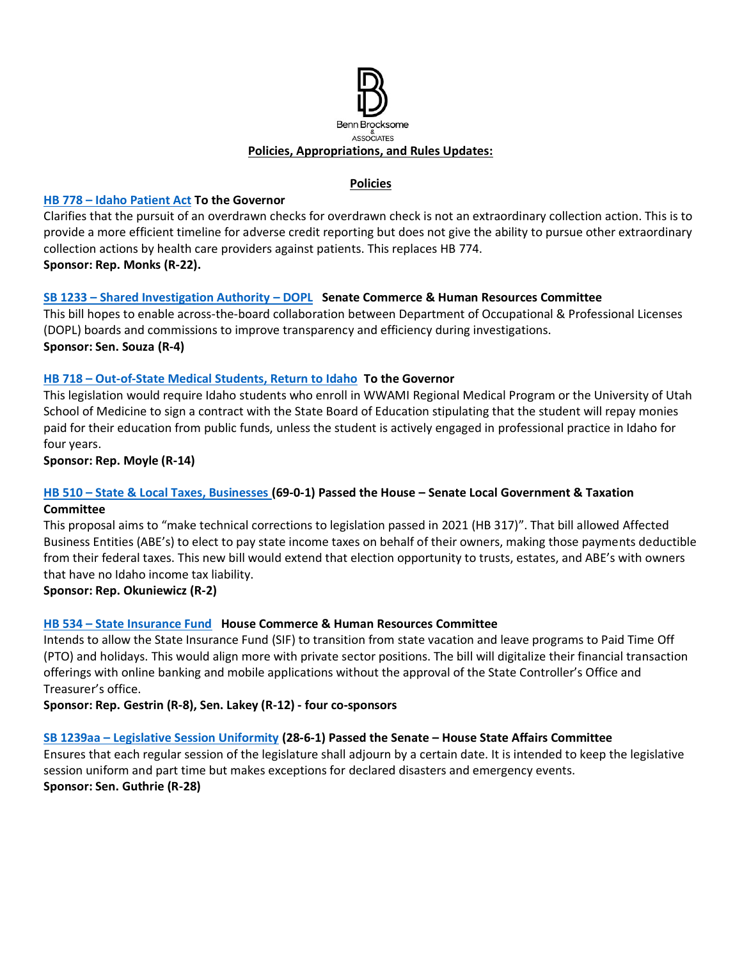

#### **Policies**

#### **HB 778 – [Idaho Patient Act](https://legislature.idaho.gov/sessioninfo/2022/legislation/H0778/) To the Governor**

Clarifies that the pursuit of an overdrawn checks for overdrawn check is not an extraordinary collection action. This is to provide a more efficient timeline for adverse credit reporting but does not give the ability to pursue other extraordinary collection actions by health care providers against patients. This replaces HB 774. **Sponsor: Rep. Monks (R-22).** 

#### **SB 1233 – [Shared Investigation Authority](https://legislature.idaho.gov/sessioninfo/2022/legislation/S1233/) – DOPL Senate Commerce & Human Resources Committee**

This bill hopes to enable across-the-board collaboration between Department of Occupational & Professional Licenses (DOPL) boards and commissions to improve transparency and efficiency during investigations. **Sponsor: Sen. Souza (R-4)** 

#### **HB 718 – [Out-of-State Medical Students, Return to Idaho](https://legislature.idaho.gov/sessioninfo/2022/legislation/H0718/) To the Governor**

This legislation would require Idaho students who enroll in WWAMI Regional Medical Program or the University of Utah School of Medicine to sign a contract with the State Board of Education stipulating that the student will repay monies paid for their education from public funds, unless the student is actively engaged in professional practice in Idaho for four years.

**Sponsor: Rep. Moyle (R-14)**

#### **HB 510 – [State & Local Taxes, Businesses](https://legislature.idaho.gov/sessioninfo/2022/legislation/H0510/) (69-0-1) Passed the House – Senate Local Government & Taxation Committee**

This proposal aims to "make technical corrections to legislation passed in 2021 (HB 317)". That bill allowed Affected Business Entities (ABE's) to elect to pay state income taxes on behalf of their owners, making those payments deductible from their federal taxes. This new bill would extend that election opportunity to trusts, estates, and ABE's with owners that have no Idaho income tax liability.

**Sponsor: Rep. Okuniewicz (R-2)**

#### **HB 534 – [State Insurance Fund](https://legislature.idaho.gov/sessioninfo/2022/legislation/H0534/) House Commerce & Human Resources Committee**

Intends to allow the State Insurance Fund (SIF) to transition from state vacation and leave programs to Paid Time Off (PTO) and holidays. This would align more with private sector positions. The bill will digitalize their financial transaction offerings with online banking and mobile applications without the approval of the State Controller's Office and Treasurer's office.

**Sponsor: Rep. Gestrin (R-8), Sen. Lakey (R-12) - four co-sponsors**

#### **SB 1239aa – [Legislative Session Uniformity](https://legislature.idaho.gov/sessioninfo/2022/legislation/S1239/) (28-6-1) Passed the Senate – House State Affairs Committee**

Ensures that each regular session of the legislature shall adjourn by a certain date. It is intended to keep the legislative session uniform and part time but makes exceptions for declared disasters and emergency events. **Sponsor: Sen. Guthrie (R-28)**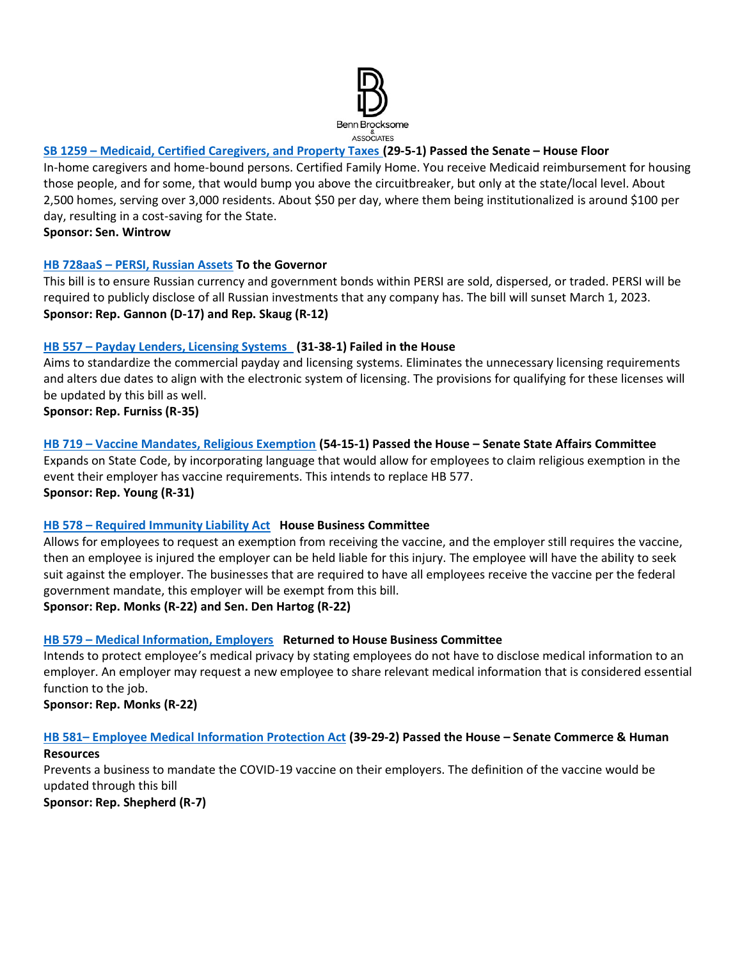

## **SB 1259 – [Medicaid, Certified Caregivers, and Property Taxes](https://legislature.idaho.gov/sessioninfo/2022/legislation/S1259/) (29-5-1) Passed the Senate – House Floor**

In-home caregivers and home-bound persons. Certified Family Home. You receive Medicaid reimbursement for housing those people, and for some, that would bump you above the circuitbreaker, but only at the state/local level. About 2,500 homes, serving over 3,000 residents. About \$50 per day, where them being institutionalized is around \$100 per day, resulting in a cost-saving for the State.

**Sponsor: Sen. Wintrow**

#### **HB 728aaS – [PERSI, Russian Assets](https://legislature.idaho.gov/sessioninfo/2022/legislation/H0728/) To the Governor**

This bill is to ensure Russian currency and government bonds within PERSI are sold, dispersed, or traded. PERSI will be required to publicly disclose of all Russian investments that any company has. The bill will sunset March 1, 2023. **Sponsor: Rep. Gannon (D-17) and Rep. Skaug (R-12)**

#### **HB 557 – [Payday Lenders, Licensing Systems](https://legislature.idaho.gov/sessioninfo/2022/legislation/H0557) (31-38-1) Failed in the House**

Aims to standardize the commercial payday and licensing systems. Eliminates the unnecessary licensing requirements and alters due dates to align with the electronic system of licensing. The provisions for qualifying for these licenses will be updated by this bill as well.

**Sponsor: Rep. Furniss (R-35)**

## **HB 719 – [Vaccine Mandates, Religious Exemption](https://legislature.idaho.gov/sessioninfo/2022/legislation/H0719/) (54-15-1) Passed the House – Senate State Affairs Committee**  Expands on State Code, by incorporating language that would allow for employees to claim religious exemption in the

event their employer has vaccine requirements. This intends to replace HB 577. **Sponsor: Rep. Young (R-31)** 

#### **HB 578 – [Required Immunity Liability Act](https://legislature.idaho.gov/sessioninfo/2022/legislation/H0578) House Business Committee**

Allows for employees to request an exemption from receiving the vaccine, and the employer still requires the vaccine, then an employee is injured the employer can be held liable for this injury. The employee will have the ability to seek suit against the employer. The businesses that are required to have all employees receive the vaccine per the federal government mandate, this employer will be exempt from this bill.

**Sponsor: Rep. Monks (R-22) and Sen. Den Hartog (R-22)**

# **HB 579 – [Medical Information, Employers](https://legislature.idaho.gov/sessioninfo/2022/legislation/H0579/) Returned to House Business Committee**

Intends to protect employee's medical privacy by stating employees do not have to disclose medical information to an employer. An employer may request a new employee to share relevant medical information that is considered essential function to the job.

**Sponsor: Rep. Monks (R-22)**

# **HB 581– [Employee Medical Information Protection Act](https://legislature.idaho.gov/sessioninfo/2022/legislation/H0581) (39-29-2) Passed the House – Senate Commerce & Human**

#### **Resources**

Prevents a business to mandate the COVID-19 vaccine on their employers. The definition of the vaccine would be updated through this bill

**Sponsor: Rep. Shepherd (R-7)**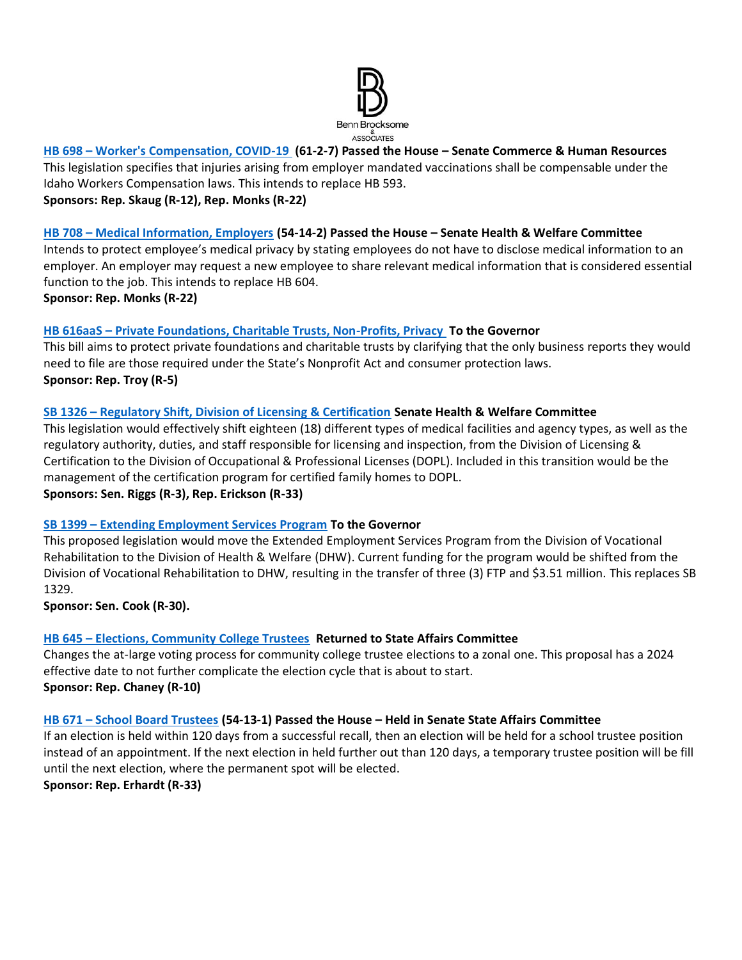

#### **HB 698 – [Worker's Compensation, COVID-19](https://legislature.idaho.gov/sessioninfo/2022/legislation/H0698/) (61-2-7) Passed the House – Senate Commerce & Human Resources**

This legislation specifies that injuries arising from employer mandated vaccinations shall be compensable under the Idaho Workers Compensation laws. This intends to replace HB 593.

#### **Sponsors: Rep. Skaug (R-12), Rep. Monks (R-22)**

#### **HB 708 – [Medical Information, Employers](https://legislature.idaho.gov/sessioninfo/2022/legislation/H0708/) (54-14-2) Passed the House – Senate Health & Welfare Committee**

Intends to protect employee's medical privacy by stating employees do not have to disclose medical information to an employer. An employer may request a new employee to share relevant medical information that is considered essential function to the job. This intends to replace HB 604.

**Sponsor: Rep. Monks (R-22)**

#### **HB 616aaS – [Private Foundations, Charitable Trusts, Non-Profits, Privacy](https://legislature.idaho.gov/sessioninfo/2022/legislation/H0616/) To the Governor**

This bill aims to protect private foundations and charitable trusts by clarifying that the only business reports they would need to file are those required under the State's Nonprofit Act and consumer protection laws. **Sponsor: Rep. Troy (R-5)**

#### **SB 1326 – [Regulatory Shift, Division of Licensing & Certification](https://legislature.idaho.gov/sessioninfo/2022/legislation/S1326/) Senate Health & Welfare Committee**

This legislation would effectively shift eighteen (18) different types of medical facilities and agency types, as well as the regulatory authority, duties, and staff responsible for licensing and inspection, from the Division of Licensing & Certification to the Division of Occupational & Professional Licenses (DOPL). Included in this transition would be the management of the certification program for certified family homes to DOPL. **Sponsors: Sen. Riggs (R-3), Rep. Erickson (R-33)**

#### **SB 1399 – [Extending Employment Services Program](https://legislature.idaho.gov/sessioninfo/2022/legislation/S1399/) To the Governor**

This proposed legislation would move the Extended Employment Services Program from the Division of Vocational Rehabilitation to the Division of Health & Welfare (DHW). Current funding for the program would be shifted from the Division of Vocational Rehabilitation to DHW, resulting in the transfer of three (3) FTP and \$3.51 million. This replaces SB 1329.

**Sponsor: Sen. Cook (R-30).** 

#### **HB 645 – [Elections, Community College Trustees](https://legislature.idaho.gov/sessioninfo/2022/legislation/H0645/) Returned to State Affairs Committee**

Changes the at-large voting process for community college trustee elections to a zonal one. This proposal has a 2024 effective date to not further complicate the election cycle that is about to start. **Sponsor: Rep. Chaney (R-10)**

#### **HB 671 – [School Board Trustees](https://legislature.idaho.gov/sessioninfo/2022/legislation/H0671/) (54-13-1) Passed the House – Held in Senate State Affairs Committee**

If an election is held within 120 days from a successful recall, then an election will be held for a school trustee position instead of an appointment. If the next election in held further out than 120 days, a temporary trustee position will be fill until the next election, where the permanent spot will be elected.

**Sponsor: Rep. Erhardt (R-33)**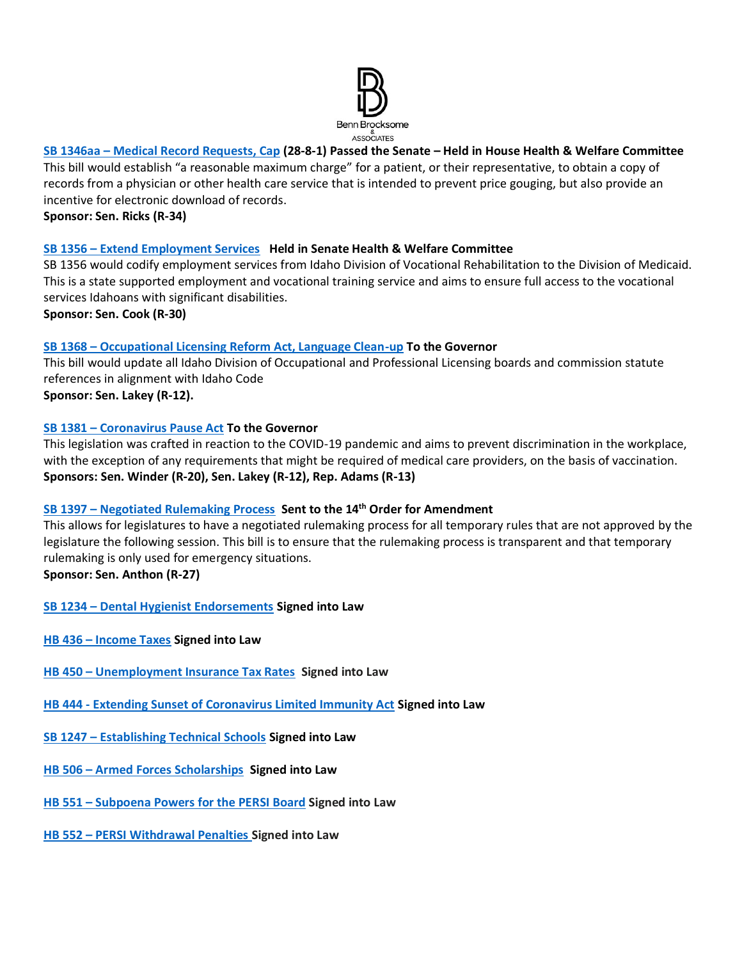

## **SB 1346aa – [Medical Record Requests, Cap](https://legislature.idaho.gov/sessioninfo/2022/legislation/S1346/) (28-8-1) Passed the Senate – Held in House Health & Welfare Committee**

This bill would establish "a reasonable maximum charge" for a patient, or their representative, to obtain a copy of records from a physician or other health care service that is intended to prevent price gouging, but also provide an incentive for electronic download of records.

**Sponsor: Sen. Ricks (R-34)**

#### **SB 1356 – [Extend Employment Services](https://legislature.idaho.gov/sessioninfo/2022/legislation/S1356) Held in Senate Health & Welfare Committee**

SB 1356 would codify employment services from Idaho Division of Vocational Rehabilitation to the Division of Medicaid. This is a state supported employment and vocational training service and aims to ensure full access to the vocational services Idahoans with significant disabilities.

**Sponsor: Sen. Cook (R-30)**

#### **SB 1368 – [Occupational Licensing Reform Act, Language Clean-up](https://legislature.idaho.gov/sessioninfo/2022/legislation/S1368/) To the Governor**

This bill would update all Idaho Division of Occupational and Professional Licensing boards and commission statute references in alignment with Idaho Code **Sponsor: Sen. Lakey (R-12).** 

#### **SB 1381 – [Coronavirus Pause Act](https://legislature.idaho.gov/sessioninfo/2022/legislation/S1381) To the Governor**

This legislation was crafted in reaction to the COVID-19 pandemic and aims to prevent discrimination in the workplace, with the exception of any requirements that might be required of medical care providers, on the basis of vaccination. **Sponsors: Sen. Winder (R-20), Sen. Lakey (R-12), Rep. Adams (R-13)**

#### **SB 1397 – [Negotiated Rulemaking Process](https://legislature.idaho.gov/sessioninfo/2022/legislation/S1397/) Sent to the 14th Order for Amendment**

This allows for legislatures to have a negotiated rulemaking process for all temporary rules that are not approved by the legislature the following session. This bill is to ensure that the rulemaking process is transparent and that temporary rulemaking is only used for emergency situations.

**Sponsor: Sen. Anthon (R-27)**

```
SB 1234 – Dental Hygienist Endorsements Signed into Law
```
- **HB 436 – [Income Taxes](https://legislature.idaho.gov/sessioninfo/2022/legislation/H0436/) Signed into Law**
- **HB 450 – [Unemployment Insurance Tax Rates](https://legislature.idaho.gov/sessioninfo/2022/legislation/H0450/) Signed into Law**
- **HB 444 - [Extending Sunset of Coronavirus Limited Immunity Act](https://legislature.idaho.gov/sessioninfo/2022/legislation/H0444/) Signed into Law**
- **SB 1247 – [Establishing Technical Schools](https://legislature.idaho.gov/sessioninfo/2022/legislation/S1247/) Signed into Law**
- **HB 506 – [Armed Forces Scholarships](https://legislature.idaho.gov/sessioninfo/2022/legislation/H0506/) Signed into Law**
- **HB 551 – [Subpoena Powers for the PERSI Board](https://legislature.idaho.gov/sessioninfo/2022/legislation/H0551) Signed into Law**
- **HB 552 – [PERSI Withdrawal Penalties](https://legislature.idaho.gov/sessioninfo/2022/legislation/H0552) Signed into Law**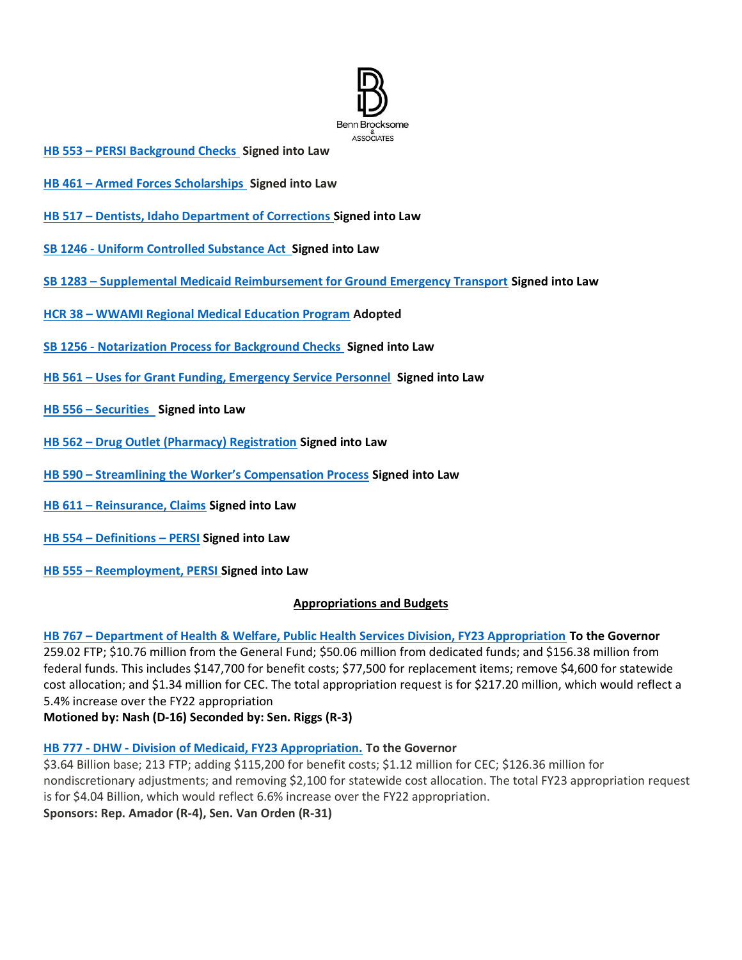

- **HB 553 – [PERSI Background Checks](https://legislature.idaho.gov/sessioninfo/2022/legislation/H0553) Signed into Law**
- **HB 461 – [Armed Forces Scholarships](https://legislature.idaho.gov/sessioninfo/2022/legislation/H0461) Signed into Law**
- **HB 517 – [Dentists, Idaho Department of Corrections](https://legislature.idaho.gov/sessioninfo/2022/legislation/H0517/) Signed into Law**
- **SB 1246 - [Uniform Controlled Substance Act](https://legislature.idaho.gov/sessioninfo/2022/legislation/S1246/) Signed into Law**
- **SB 1283 – [Supplemental Medicaid Reimbursement for Ground Emergency Transport](https://legislature.idaho.gov/sessioninfo/2022/legislation/S1283/) Signed into Law**
- **HCR 38 – [WWAMI Regional Medical Education Program](https://legislature.idaho.gov/sessioninfo/2022/legislation/HCR038/) Adopted**
- **SB 1256 - [Notarization Process for Background Checks](https://legislature.idaho.gov/sessioninfo/2022/legislation/S1256/) Signed into Law**
- **HB 561 – Uses for [Grant Funding, Emergency Service Personnel](https://legislature.idaho.gov/sessioninfo/2022/legislation/H0561) Signed into Law**
- **HB 556 – [Securities](https://legislature.idaho.gov/sessioninfo/2022/legislation/H0556) Signed into Law**
- **HB 562 – [Drug Outlet \(Pharmacy\) Registration](https://legislature.idaho.gov/sessioninfo/2022/legislation/H0562) Signed into Law**
- **HB 590 – Streamlining the [Worker's Compensation Process](https://legislature.idaho.gov/sessioninfo/2022/legislation/H0590) Signed into Law**
- **HB 611 – [Reinsurance, Claims](https://legislature.idaho.gov/sessioninfo/2022/legislation/H0611) Signed into Law**
- **HB 554 – [Definitions](https://legislature.idaho.gov/sessioninfo/2022/legislation/H0554) – PERSI Signed into Law**
- **HB 555 – [Reemployment, PERSI](https://legislature.idaho.gov/sessioninfo/2022/legislation/H0555) Signed into Law**

#### **Appropriations and Budgets**

#### **HB 767 – [Department of Health & Welfare, Public Health Services Division, FY23 Appropriation](https://legislature.idaho.gov/sessioninfo/2022/legislation/H0767/) To the Governor**

259.02 FTP; \$10.76 million from the General Fund; \$50.06 million from dedicated funds; and \$156.38 million from federal funds. This includes \$147,700 for benefit costs; \$77,500 for replacement items; remove \$4,600 for statewide cost allocation; and \$1.34 million for CEC. The total appropriation request is for \$217.20 million, which would reflect a 5.4% increase over the FY22 appropriation

**Motioned by: Nash (D-16) Seconded by: Sen. Riggs (R-3)**

#### **HB 777 - DHW - [Division of Medicaid, FY23 Appropriation.](https://legislature.idaho.gov/sessioninfo/2022/legislation/H0777/) To the Governor**

\$3.64 Billion base; 213 FTP; adding \$115,200 for benefit costs; \$1.12 million for CEC; \$126.36 million for nondiscretionary adjustments; and removing \$2,100 for statewide cost allocation. The total FY23 appropriation request is for \$4.04 Billion, which would reflect 6.6% increase over the FY22 appropriation. **Sponsors: Rep. Amador (R-4), Sen. Van Orden (R-31)**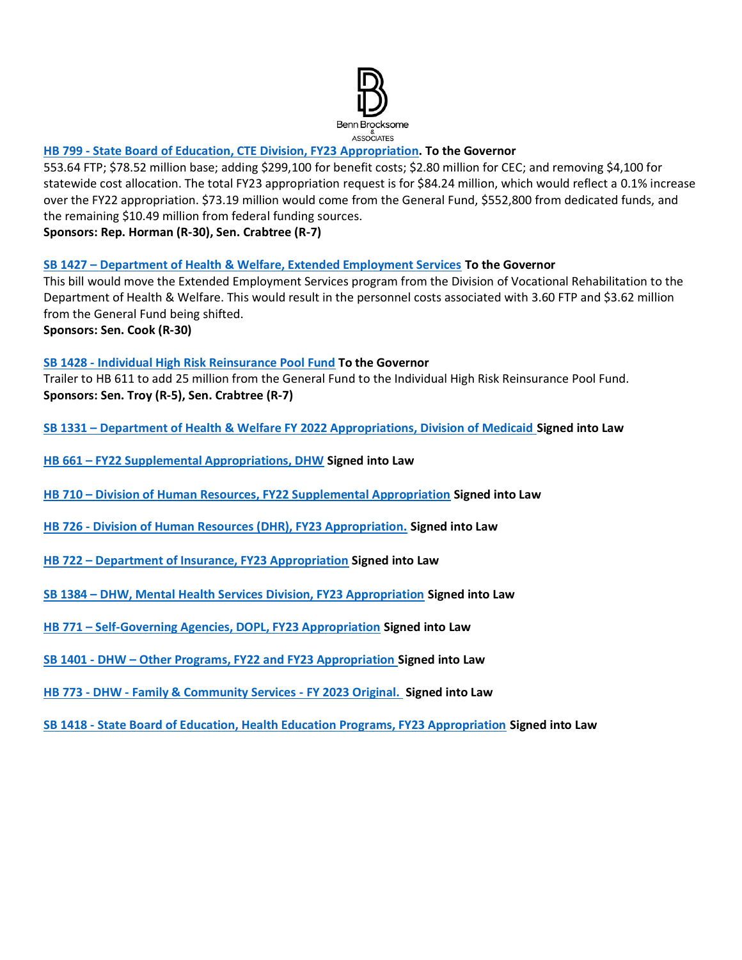

#### **HB 799 - [State Board of Education, CTE Division, FY23](https://legislature.idaho.gov/sessioninfo/2022/legislation/H0799/) Appropriation. To the Governor**

553.64 FTP; \$78.52 million base; adding \$299,100 for benefit costs; \$2.80 million for CEC; and removing \$4,100 for statewide cost allocation. The total FY23 appropriation request is for \$84.24 million, which would reflect a 0.1% increase over the FY22 appropriation. \$73.19 million would come from the General Fund, \$552,800 from dedicated funds, and the remaining \$10.49 million from federal funding sources.

**Sponsors: Rep. Horman (R-30), Sen. Crabtree (R-7)**

**SB 1427 – [Department of Health & Welfare, Extended Employment Services](https://legislature.idaho.gov/sessioninfo/2022/legislation/S1427/) To the Governor**

This bill would move the Extended Employment Services program from the Division of Vocational Rehabilitation to the Department of Health & Welfare. This would result in the personnel costs associated with 3.60 FTP and \$3.62 million from the General Fund being shifted.

**Sponsors: Sen. Cook (R-30)**

#### **SB 1428 - [Individual High Risk Reinsurance Pool Fund](https://legislature.idaho.gov/sessioninfo/2022/legislation/S1428/) To the Governor**

Trailer to HB 611 to add 25 million from the General Fund to the Individual High Risk Reinsurance Pool Fund. **Sponsors: Sen. Troy (R-5), Sen. Crabtree (R-7)**

**SB 1331 – [Department of Health & Welfare FY 2022 Appropriations, Division of Medicaid](https://legislature.idaho.gov/sessioninfo/2022/legislation/S1331/) Signed into Law**

- **HB 661 – [FY22 Supplemental Appropriations, DHW](https://legislature.idaho.gov/sessioninfo/2022/legislation/H0661/) Signed into Law**
- **HB 710 – [Division of Human Resources, FY22 Supplemental Appropriation](https://legislature.idaho.gov/sessioninfo/2022/legislation/H0710/) Signed into Law**
- **HB 726 - [Division of Human Resources \(DHR\), FY23 Appropriation.](https://legislature.idaho.gov/sessioninfo/2022/legislation/H0726/) Signed into Law**
- **HB 722 – [Department of Insurance, FY23 Appropriation](https://legislature.idaho.gov/sessioninfo/2022/legislation/H0722) Signed into Law**
- **SB 1384 – [DHW, Mental Health Services Division, FY23 Appropriation](https://legislature.idaho.gov/sessioninfo/2022/legislation/S1384) Signed into Law**
- **HB 771 – [Self-Governing Agencies, DOPL, FY23 Appropriation](https://legislature.idaho.gov/sessioninfo/2022/legislation/H0771/) Signed into Law**
- **SB 1401 - DHW – [Other Programs, FY22 and FY23 Appropriation](https://legislature.idaho.gov/sessioninfo/2022/legislation/S1401/) Signed into Law**
- **HB 773 - DHW - [Family & Community Services -](https://legislature.idaho.gov/sessioninfo/2022/legislation/H0773/) FY 2023 Original. Signed into Law**
- **SB 1418 - [State Board of Education, Health Education Programs, FY23 Appropriation](https://legislature.idaho.gov/sessioninfo/2022/legislation/S1418/) Signed into Law**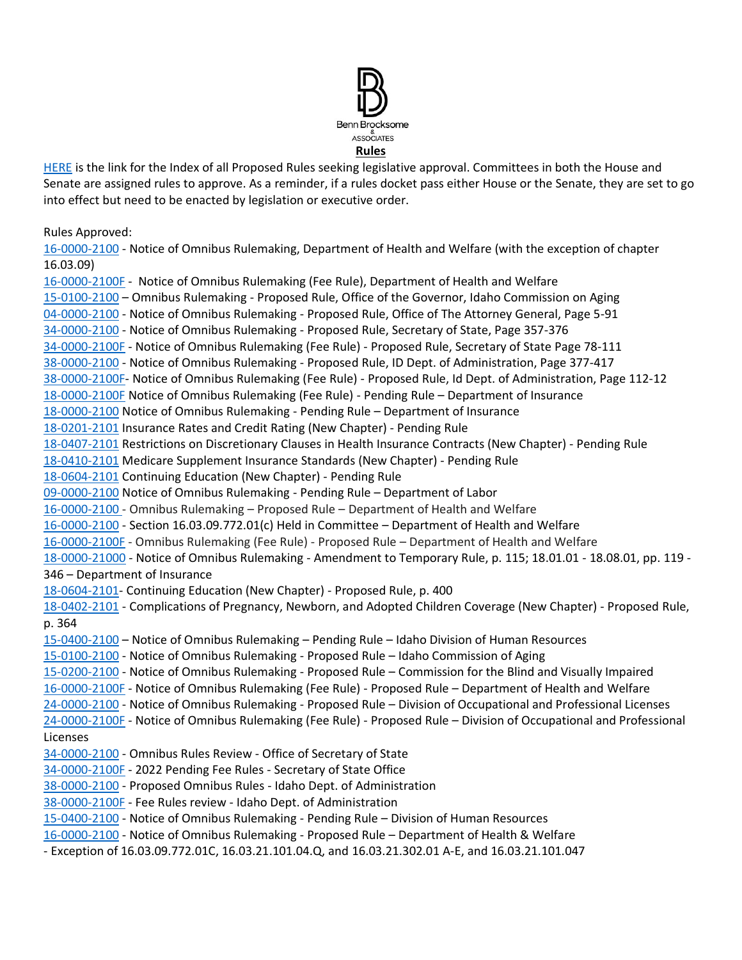

[HERE](https://adminrules.idaho.gov/rules/current/) is the link for the Index of all Proposed Rules seeking legislative approval. Committees in both the House and Senate are assigned rules to approve. As a reminder, if a rules docket pass either House or the Senate, they are set to go into effect but need to be enacted by legislation or executive order.

Rules Approved:

[16-0000-2100](https://adminrules.idaho.gov/legislative_books/2022/pending/22H_HealthWelfare.pdf#nameddest=G12.999219) - Notice of Omnibus Rulemaking, Department of Health and Welfare (with the exception of chapter 16.03.09)

[16-0000-2100F](https://adminrules.idaho.gov/legislative_books/2022/fee/22H_Fee_HW.pdf#nameddest=G4.999237) - Notice of Omnibus Rulemaking (Fee Rule), Department of Health and Welfare [15-0100-2100](https://adminrules.idaho.gov/legislative_books/2022/pending/22H_HealthWelfare.pdf#nameddest=G4.999158) – Omnibus Rulemaking - Proposed Rule, Office of the Governor, Idaho Commission on Aging [04-0000-2100](https://adminrules.idaho.gov/legislative_books/2022/pending/22S_StateAffs.pdf#nameddest=G4.999167) - Notice of Omnibus Rulemaking - Proposed Rule, Office of The Attorney General, Page 5-91 [34-0000-2100](https://adminrules.idaho.gov/legislative_books/2022/pending/22S_StateAffs.pdf#nameddest=G17.999161) - Notice of Omnibus Rulemaking - Proposed Rule, Secretary of State, Page 357-376 [34-0000-2100F](https://adminrules.idaho.gov/legislative_books/2022/fee/22S_Fee_StateAffs.pdf#nameddest=G15.999174) - Notice of Omnibus Rulemaking (Fee Rule) - Proposed Rule, Secretary of State Page 78-111 [38-0000-2100](https://adminrules.idaho.gov/legislative_books/2022/pending/22S_StateAffs.pdf#nameddest=G38.999154) - Notice of Omnibus Rulemaking - Proposed Rule, ID Dept. of Administration, Page 377-417 [38-0000-2100F-](https://adminrules.idaho.gov/legislative_books/2022/fee/22S_Fee_StateAffs.pdf#nameddest=G20.999308) Notice of Omnibus Rulemaking (Fee Rule) - Proposed Rule, Id Dept. of Administration, Page 112-12 [18-0000-2100F](https://adminrules.idaho.gov/legislative_books/2022/fee/22H_FEE_Business.pdf#nameddest=G6.999167) Notice of Omnibus Rulemaking (Fee Rule) - Pending Rule – Department of Insurance [18-0000-2100](https://adminrules.idaho.gov/legislative_books/2022/pending/22H_Business.pdf#nameddest=G7.999199) Notice of Omnibus Rulemaking - Pending Rule – Department of Insurance [18-0201-2101](https://adminrules.idaho.gov/legislative_books/2022/pending/22H_Business.pdf#nameddest=G40.999284) Insurance Rates and Credit Rating (New Chapter) - Pending Rule [18-0407-2101](https://adminrules.idaho.gov/legislative_books/2022/pending/22H_Business.pdf#nameddest=G44.999241) Restrictions on Discretionary Clauses in Health Insurance Contracts (New Chapter) - Pending Rule [18-0410-2101](https://adminrules.idaho.gov/legislative_books/2022/pending/22H_Business.pdf#nameddest=G44.999241) Medicare Supplement Insurance Standards (New Chapter) - Pending Rule [18-0604-2101](https://adminrules.idaho.gov/legislative_books/2022/pending/22H_Business.pdf#nameddest=G44.999241) Continuing Education (New Chapter) - Pending Rule [09-0000-2100](https://adminrules.idaho.gov/legislative_books/2022/pending/22H_CommHR.pdf#nameddest=G4.999194) Notice of Omnibus Rulemaking - Pending Rule – Department of Labor [16-0000-2100](https://adminrules.idaho.gov/legislative_books/2022/pending/22H_HealthWelfare.pdf#nameddest=G12.999219) - Omnibus Rulemaking – Proposed Rule – Department of Health and Welfare [16-0000-2100](https://adminrules.idaho.gov/legislative_books/2022/pending/22H_HealthWelfare.pdf#nameddest=G12.999219) - Section 16.03.09.772.01(c) Held in Committee – Department of Health and Welfare [16-0000-2100F](https://adminrules.idaho.gov/legislative_books/2022/fee/22S_Fee_HealthWelfare.pdf) - Omnibus Rulemaking (Fee Rule) - Proposed Rule – Department of Health and Welfare [18-0000-21000](https://adminrules.idaho.gov/legislative_books/2022/pending/22S_CommHR.pdf#nameddest=G19.999199) - Notice of Omnibus Rulemaking - Amendment to Temporary Rule, p. 115; 18.01.01 - 18.08.01, pp. 119 - 346 – Department of Insurance [18-0604-2101-](https://adminrules.idaho.gov/legislative_books/2022/pending/22S_CommHR.pdf#nameddest=G58.999151) Continuing Education (New Chapter) - Proposed Rule, p. 400 [18-0402-2101](https://adminrules.idaho.gov/legislative_books/2022/pending/22S_CommHR.pdf#nameddest=G55.999268) - Complications of Pregnancy, Newborn, and Adopted Children Coverage (New Chapter) - Proposed Rule, p. 364 [15-0400-2100](https://adminrules.idaho.gov/legislative_books/2022/pending/22H_CommHR.pdf#nameddest=G11.999158) – Notice of Omnibus Rulemaking – Pending Rule – Idaho Division of Human Resources [15-0100-2100](https://adminrules.idaho.gov/legislative_books/2022/pending/22S_HealthWelfare.pdf#nameddest=G4.999158) - Notice of Omnibus Rulemaking - Proposed Rule – Idaho Commission of Aging [15-0200-2100](https://adminrules.idaho.gov/legislative_books/2022/pending/22S_HealthWelfare.pdf#nameddest=G4.999158) - Notice of Omnibus Rulemaking - Proposed Rule – Commission for the Blind and Visually Impaired [16-0000-2100F](https://adminrules.idaho.gov/legislative_books/2022/fee/22S_Fee_HealthWelfare.pdf#nameddest=G4.999237) - Notice of Omnibus Rulemaking (Fee Rule) - Proposed Rule – Department of Health and Welfare [24-0000-2100](https://adminrules.idaho.gov/legislative_books/2022/pending/22S_CommHR.pdf) - Notice of Omnibus Rulemaking - Proposed Rule – Division of Occupational and Professional Licenses [24-0000-2100F](https://adminrules.idaho.gov/legislative_books/2022/fee/22S_Fee_CommHR.pdf) - Notice of Omnibus Rulemaking (Fee Rule) - Proposed Rule – Division of Occupational and Professional Licenses [34-0000-2100](http://adminrules.idaho.gov/legislative_books/2022/pending/22S_StateAffs.pdf#nameddest=G32.999138) - Omnibus Rules Review - Office of Secretary of State [34-0000-2100F](http://adminrules.idaho.gov/legislative_books/2022/fee/22H_Fee_StAffs.pdf#nameddest=G15.999174) - 2022 Pending Fee Rules - Secretary of State Office [38-0000-2100](https://adminrules.idaho.gov/legislative_books/2022/pending/22S_StateAffs.pdf#nameddest=G38.999154) - Proposed Omnibus Rules - Idaho Dept. of Administration [38-0000-2100F](https://adminrules.idaho.gov/legislative_books/2022/fee/22H_Fee_StAffs.pdf#nameddest=G20.999308) - Fee Rules review - Idaho Dept. of Administration [15-0400-2100](https://adminrules.idaho.gov/legislative_books/2022/pending/22H_CommHR.pdf#nameddest=G11.999158) - Notice of Omnibus Rulemaking - Pending Rule – Division of Human Resources [16-0000-2100](https://adminrules.idaho.gov/legislative_books/2022/pending/22S_HealthWelfare.pdf#nameddest=G12.999219) - Notice of Omnibus Rulemaking - Proposed Rule – Department of Health & Welfare

- Exception of 16.03.09.772.01C, 16.03.21.101.04.Q, and 16.03.21.302.01 A-E, and 16.03.21.101.047